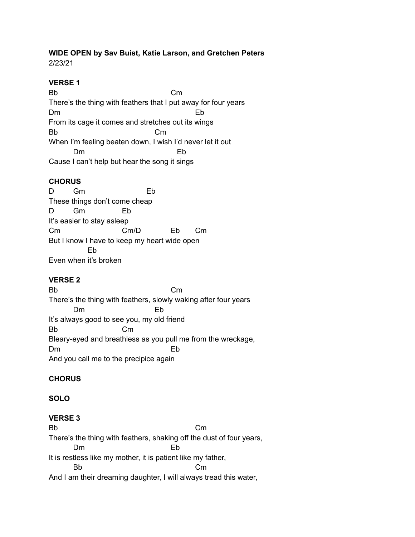# **WIDE OPEN by Sav Buist, Katie Larson, and Gretchen Peters**

2/23/21

## **VERSE 1**

Bb Cm There's the thing with feathers that I put away for four years Dm Eb From its cage it comes and stretches out its wings Bb Cm When I'm feeling beaten down, I wish I'd never let it out Dm Eb Cause I can't help but hear the song it sings

### **CHORUS**

D Gm Eb These things don't come cheap D Gm Eb It's easier to stay asleep Cm Cm/D Eb Cm But I know I have to keep my heart wide open Eb Even when it's broken

#### **VERSE 2**

Bb Cm There's the thing with feathers, slowly waking after four years Dm Eb It's always good to see you, my old friend Bb Cm Bleary-eyed and breathless as you pull me from the wreckage, Dm Eb And you call me to the precipice again

## **CHORUS**

#### **SOLO**

#### **VERSE 3**

Bb Cm There's the thing with feathers, shaking off the dust of four years, Dm Eb It is restless like my mother, it is patient like my father, Bb Cm And I am their dreaming daughter, I will always tread this water,